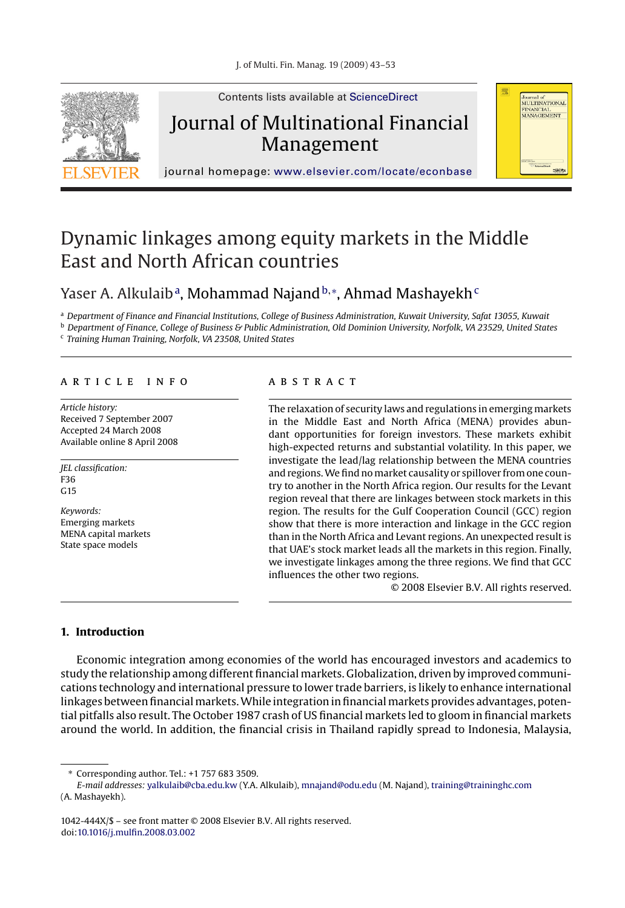

Contents lists available at [ScienceDirect](http://www.sciencedirect.com/science/journal/1042444X)

## Journal of Multinational Financial Management



journal homepage: [www.elsevier.com/locate/econbase](http://www.elsevier.com/locate/econbase)

## Dynamic linkages among equity markets in the Middle East and North African countries

### Yaser A. Alkulaibª, Mohammad Najand<sup>b,</sup>\*, Ahmad Mashayekh<sup>c</sup>

<sup>a</sup> *Department of Finance and Financial Institutions, College of Business Administration, Kuwait University, Safat 13055, Kuwait*

<sup>b</sup> *Department of Finance, College of Business & Public Administration, Old Dominion University, Norfolk, VA 23529, United States* <sup>c</sup> *Training Human Training, Norfolk, VA 23508, United States*

#### article info

*Article history:* Received 7 September 2007 Accepted 24 March 2008 Available online 8 April 2008

*JEL classification:* F36  $G15$ 

*Keywords:* Emerging markets MENA capital markets State space models

#### **ABSTRACT**

The relaxation of security laws and regulations in emerging markets in the Middle East and North Africa (MENA) provides abundant opportunities for foreign investors. These markets exhibit high-expected returns and substantial volatility. In this paper, we investigate the lead/lag relationship between the MENA countries and regions. We find no market causality or spillover from one country to another in the North Africa region. Our results for the Levant region reveal that there are linkages between stock markets in this region. The results for the Gulf Cooperation Council (GCC) region show that there is more interaction and linkage in the GCC region than in the North Africa and Levant regions. An unexpected result is that UAE's stock market leads all the markets in this region. Finally, we investigate linkages among the three regions. We find that GCC influences the other two regions.

© 2008 Elsevier B.V. All rights reserved.

#### **1. Introduction**

Economic integration among economies of the world has encouraged investors and academics to study the relationship among different financial markets. Globalization, driven by improved communications technology and international pressure to lower trade barriers, is likely to enhance international linkages between financial markets. While integration in financial markets provides advantages, potential pitfalls also result. The October 1987 crash of US financial markets led to gloom in financial markets around the world. In addition, the financial crisis in Thailand rapidly spread to Indonesia, Malaysia,

∗ Corresponding author. Tel.: +1 757 683 3509.

*E-mail addresses:* [yalkulaib@cba.edu.kw](mailto:yalkulaib@cba.edu.kw) (Y.A. Alkulaib), [mnajand@odu.edu](mailto:mnajand@odu.edu) (M. Najand), [training@traininghc.com](mailto:training@traininghc.com) (A. Mashayekh).

1042-444X/\$ – see front matter © 2008 Elsevier B.V. All rights reserved. doi:[10.1016/j.mulfin.2008.03.002](dx.doi.org/10.1016/j.mulfin.2008.03.002)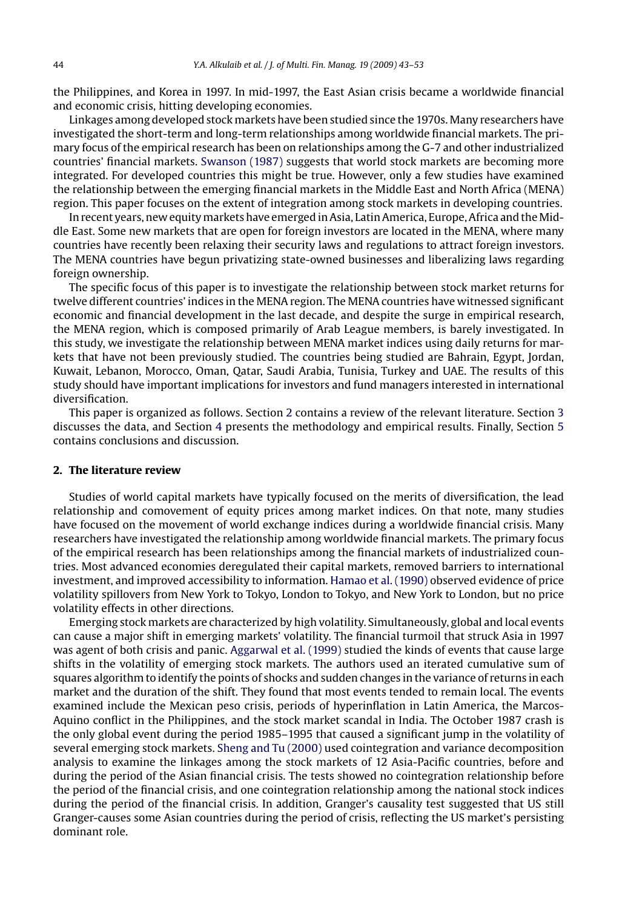the Philippines, and Korea in 1997. In mid-1997, the East Asian crisis became a worldwide financial and economic crisis, hitting developing economies.

Linkages among developed stock markets have been studied since the 1970s. Many researchers have investigated the short-term and long-term relationships among worldwide financial markets. The primary focus of the empirical research has been on relationships among the G-7 and other industrialized countries' financial markets. [Swanson \(1987\)](#page--1-0) suggests that world stock markets are becoming more integrated. For developed countries this might be true. However, only a few studies have examined the relationship between the emerging financial markets in the Middle East and North Africa (MENA) region. This paper focuses on the extent of integration among stock markets in developing countries.

In recent years, new equitymarkets have emerged in Asia, Latin America, Europe, Africa and theMiddle East. Some new markets that are open for foreign investors are located in the MENA, where many countries have recently been relaxing their security laws and regulations to attract foreign investors. The MENA countries have begun privatizing state-owned businesses and liberalizing laws regarding foreign ownership.

The specific focus of this paper is to investigate the relationship between stock market returns for twelve different countries' indices in the MENA region. The MENA countries have witnessed significant economic and financial development in the last decade, and despite the surge in empirical research, the MENA region, which is composed primarily of Arab League members, is barely investigated. In this study, we investigate the relationship between MENA market indices using daily returns for markets that have not been previously studied. The countries being studied are Bahrain, Egypt, Jordan, Kuwait, Lebanon, Morocco, Oman, Qatar, Saudi Arabia, Tunisia, Turkey and UAE. The results of this study should have important implications for investors and fund managers interested in international diversification.

This paper is organized as follows. Section 2 contains a review of the relevant literature. Section [3](#page--1-0) discusses the data, and Section [4](#page--1-0) presents the methodology and empirical results. Finally, Section [5](#page--1-0) contains conclusions and discussion.

#### **2. The literature review**

Studies of world capital markets have typically focused on the merits of diversification, the lead relationship and comovement of equity prices among market indices. On that note, many studies have focused on the movement of world exchange indices during a worldwide financial crisis. Many researchers have investigated the relationship among worldwide financial markets. The primary focus of the empirical research has been relationships among the financial markets of industrialized countries. Most advanced economies deregulated their capital markets, removed barriers to international investment, and improved accessibility to information. [Hamao et al. \(1990\)](#page--1-0) observed evidence of price volatility spillovers from New York to Tokyo, London to Tokyo, and New York to London, but no price volatility effects in other directions.

Emerging stock markets are characterized by high volatility. Simultaneously, global and local events can cause a major shift in emerging markets' volatility. The financial turmoil that struck Asia in 1997 was agent of both crisis and panic. [Aggarwal et al. \(1999\)](#page--1-0) studied the kinds of events that cause large shifts in the volatility of emerging stock markets. The authors used an iterated cumulative sum of squares algorithm to identify the points of shocks and sudden changes in the variance of returns in each market and the duration of the shift. They found that most events tended to remain local. The events examined include the Mexican peso crisis, periods of hyperinflation in Latin America, the Marcos-Aquino conflict in the Philippines, and the stock market scandal in India. The October 1987 crash is the only global event during the period 1985–1995 that caused a significant jump in the volatility of several emerging stock markets. [Sheng and Tu \(2000\)](#page--1-0) used cointegration and variance decomposition analysis to examine the linkages among the stock markets of 12 Asia-Pacific countries, before and during the period of the Asian financial crisis. The tests showed no cointegration relationship before the period of the financial crisis, and one cointegration relationship among the national stock indices during the period of the financial crisis. In addition, Granger's causality test suggested that US still Granger-causes some Asian countries during the period of crisis, reflecting the US market's persisting dominant role.